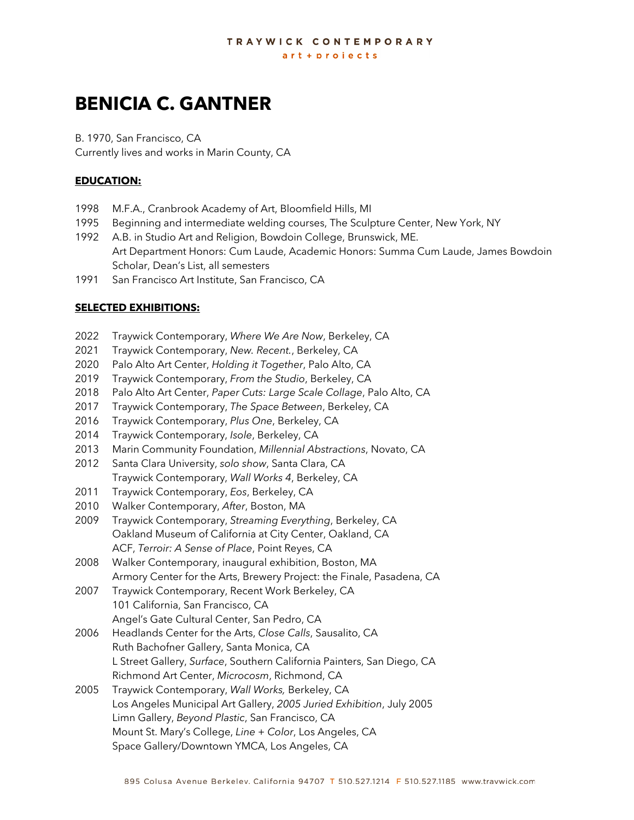# **BENICIA C. GANTNER**

B. 1970, San Francisco, CA Currently lives and works in Marin County, CA

### **EDUCATION:**

- 1998 M.F.A., Cranbrook Academy of Art, Bloomfield Hills, MI
- 1995 Beginning and intermediate welding courses, The Sculpture Center, New York, NY
- 1992 A.B. in Studio Art and Religion, Bowdoin College, Brunswick, ME. Art Department Honors: Cum Laude, Academic Honors: Summa Cum Laude, James Bowdoin Scholar, Dean's List, all semesters
- 1991 San Francisco Art Institute, San Francisco, CA

#### **SELECTED EXHIBITIONS:**

- 2022 Traywick Contemporary, *Where We Are Now*, Berkeley, CA
- 2021 Traywick Contemporary, *New. Recent.*, Berkeley, CA
- 2020 Palo Alto Art Center, *Holding it Together*, Palo Alto, CA
- 2019 Traywick Contemporary, *From the Studio*, Berkeley, CA
- 2018 Palo Alto Art Center, *Paper Cuts: Large Scale Collage*, Palo Alto, CA
- 2017 Traywick Contemporary, *The Space Between*, Berkeley, CA
- 2016 Traywick Contemporary, *Plus One*, Berkeley, CA
- 2014 Traywick Contemporary, *Isole*, Berkeley, CA
- 2013 Marin Community Foundation, *Millennial Abstractions*, Novato, CA
- 2012 Santa Clara University, *solo show*, Santa Clara, CA Traywick Contemporary, *Wall Works 4*, Berkeley, CA
- 2011 Traywick Contemporary, *Eos*, Berkeley, CA
- 2010 Walker Contemporary, *After*, Boston, MA
- 2009 Traywick Contemporary, *Streaming Everything*, Berkeley, CA Oakland Museum of California at City Center, Oakland, CA ACF, *Terroir: A Sense of Place*, Point Reyes, CA
- 2008 Walker Contemporary, inaugural exhibition, Boston, MA Armory Center for the Arts, Brewery Project: the Finale, Pasadena, CA
- 2007 Traywick Contemporary, Recent Work Berkeley, CA 101 California, San Francisco, CA Angel's Gate Cultural Center, San Pedro, CA
- 2006 Headlands Center for the Arts, *Close Calls*, Sausalito, CA Ruth Bachofner Gallery, Santa Monica, CA L Street Gallery, *Surface*, Southern California Painters, San Diego, CA Richmond Art Center, *Microcosm*, Richmond, CA
- 2005 Traywick Contemporary, *Wall Works,* Berkeley, CA Los Angeles Municipal Art Gallery, *2005 Juried Exhibition*, July 2005 Limn Gallery, *Beyond Plastic*, San Francisco, CA Mount St. Mary's College, *Line + Color*, Los Angeles, CA Space Gallery/Downtown YMCA, Los Angeles, CA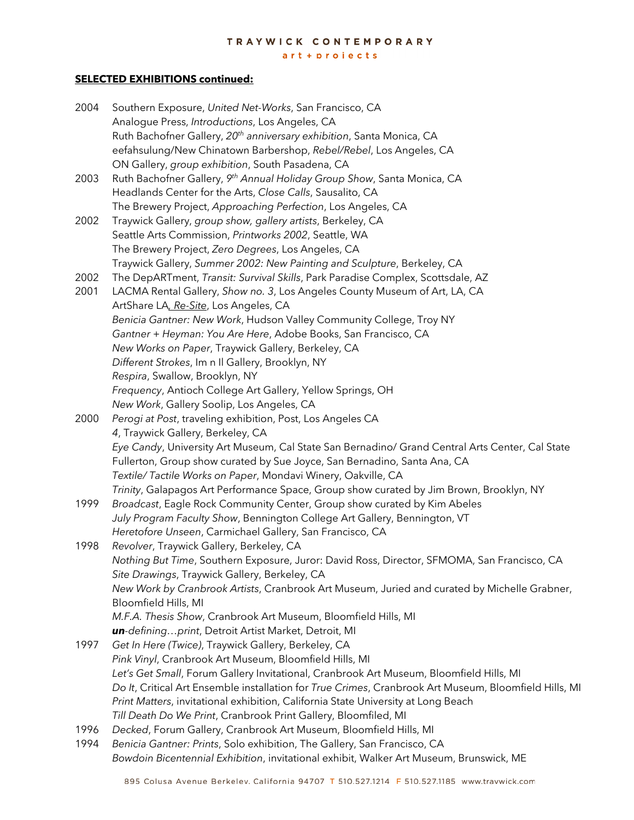#### TRAYWICK CONTEMPORARY

art + projects

## **SELECTED EXHIBITIONS continued:**

| 2004 | Southern Exposure, United Net-Works, San Francisco, CA                                                |
|------|-------------------------------------------------------------------------------------------------------|
|      | Analogue Press, Introductions, Los Angeles, CA                                                        |
|      | Ruth Bachofner Gallery, 20 <sup>th</sup> anniversary exhibition, Santa Monica, CA                     |
|      | eefahsulung/New Chinatown Barbershop, Rebel/Rebel, Los Angeles, CA                                    |
|      | ON Gallery, group exhibition, South Pasadena, CA                                                      |
| 2003 | Ruth Bachofner Gallery, 9th Annual Holiday Group Show, Santa Monica, CA                               |
|      | Headlands Center for the Arts, Close Calls, Sausalito, CA                                             |
|      | The Brewery Project, Approaching Perfection, Los Angeles, CA                                          |
| 2002 | Traywick Gallery, group show, gallery artists, Berkeley, CA                                           |
|      | Seattle Arts Commission, Printworks 2002, Seattle, WA                                                 |
|      | The Brewery Project, Zero Degrees, Los Angeles, CA                                                    |
|      | Traywick Gallery, Summer 2002: New Painting and Sculpture, Berkeley, CA                               |
| 2002 | The DepARTment, Transit: Survival Skills, Park Paradise Complex, Scottsdale, AZ                       |
| 2001 | LACMA Rental Gallery, Show no. 3, Los Angeles County Museum of Art, LA, CA                            |
|      | ArtShare LA, Re-Site, Los Angeles, CA                                                                 |
|      | Benicia Gantner: New Work, Hudson Valley Community College, Troy NY                                   |
|      | Gantner + Heyman: You Are Here, Adobe Books, San Francisco, CA                                        |
|      | New Works on Paper, Traywick Gallery, Berkeley, CA                                                    |
|      | Different Strokes, Im n Il Gallery, Brooklyn, NY                                                      |
|      | Respira, Swallow, Brooklyn, NY                                                                        |
|      | Frequency, Antioch College Art Gallery, Yellow Springs, OH                                            |
|      | New Work, Gallery Soolip, Los Angeles, CA                                                             |
| 2000 | Perogi at Post, traveling exhibition, Post, Los Angeles CA                                            |
|      | 4, Traywick Gallery, Berkeley, CA                                                                     |
|      | Eye Candy, University Art Museum, Cal State San Bernadino/ Grand Central Arts Center, Cal State       |
|      | Fullerton, Group show curated by Sue Joyce, San Bernadino, Santa Ana, CA                              |
|      | Textile/Tactile Works on Paper, Mondavi Winery, Oakville, CA                                          |
|      | Trinity, Galapagos Art Performance Space, Group show curated by Jim Brown, Brooklyn, NY               |
| 1999 | Broadcast, Eagle Rock Community Center, Group show curated by Kim Abeles                              |
|      | July Program Faculty Show, Bennington College Art Gallery, Bennington, VT                             |
|      | Heretofore Unseen, Carmichael Gallery, San Francisco, CA                                              |
| 1998 | Revolver, Traywick Gallery, Berkeley, CA                                                              |
|      | Nothing But Time, Southern Exposure, Juror: David Ross, Director, SFMOMA, San Francisco, CA           |
|      | Site Drawings, Traywick Gallery, Berkeley, CA                                                         |
|      | New Work by Cranbrook Artists, Cranbrook Art Museum, Juried and curated by Michelle Grabner,          |
|      | Bloomfield Hills, MI                                                                                  |
|      | M.F.A. Thesis Show, Cranbrook Art Museum, Bloomfield Hills, MI                                        |
|      | un-definingprint, Detroit Artist Market, Detroit, MI                                                  |
| 1997 | Get In Here (Twice), Traywick Gallery, Berkeley, CA                                                   |
|      | Pink Vinyl, Cranbrook Art Museum, Bloomfield Hills, MI                                                |
|      | Let's Get Small, Forum Gallery Invitational, Cranbrook Art Museum, Bloomfield Hills, MI               |
|      | Do It, Critical Art Ensemble installation for True Crimes, Cranbrook Art Museum, Bloomfield Hills, MI |
|      | Print Matters, invitational exhibition, California State University at Long Beach                     |
|      | Till Death Do We Print, Cranbrook Print Gallery, Bloomfiled, MI                                       |
| 1996 | Decked, Forum Gallery, Cranbrook Art Museum, Bloomfield Hills, MI                                     |
| 1994 | Benicia Gantner: Prints, Solo exhibition, The Gallery, San Francisco, CA                              |

*Bowdoin Bicentennial Exhibition*, invitational exhibit, Walker Art Museum, Brunswick, ME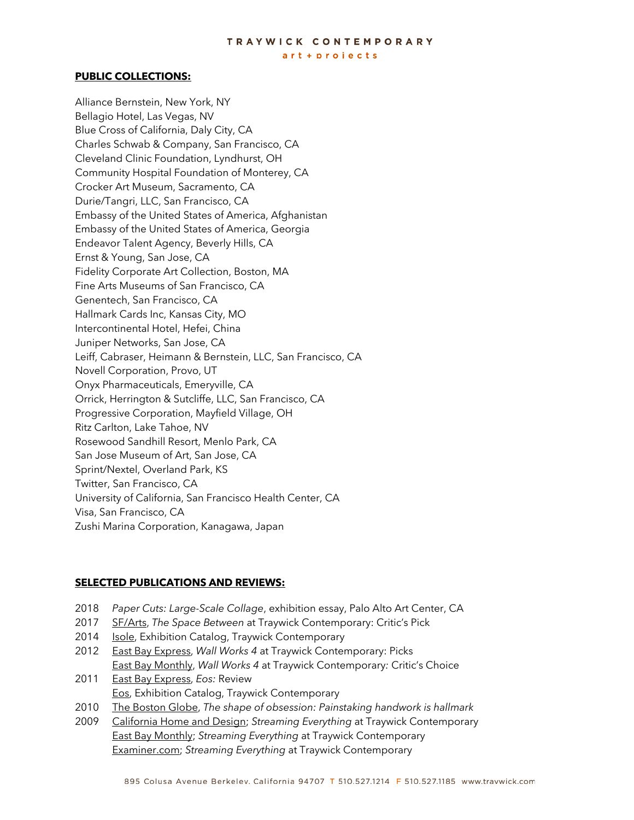## TRAYWICK CONTEMPORARY

art + projects

#### **PUBLIC COLLECTIONS:**

Alliance Bernstein, New York, NY Bellagio Hotel, Las Vegas, NV Blue Cross of California, Daly City, CA Charles Schwab & Company, San Francisco, CA Cleveland Clinic Foundation, Lyndhurst, OH Community Hospital Foundation of Monterey, CA Crocker Art Museum, Sacramento, CA Durie/Tangri, LLC, San Francisco, CA Embassy of the United States of America, Afghanistan Embassy of the United States of America, Georgia Endeavor Talent Agency, Beverly Hills, CA Ernst & Young, San Jose, CA Fidelity Corporate Art Collection, Boston, MA Fine Arts Museums of San Francisco, CA Genentech, San Francisco, CA Hallmark Cards Inc, Kansas City, MO Intercontinental Hotel, Hefei, China Juniper Networks, San Jose, CA Leiff, Cabraser, Heimann & Bernstein, LLC, San Francisco, CA Novell Corporation, Provo, UT Onyx Pharmaceuticals, Emeryville, CA Orrick, Herrington & Sutcliffe, LLC, San Francisco, CA Progressive Corporation, Mayfield Village, OH Ritz Carlton, Lake Tahoe, NV Rosewood Sandhill Resort, Menlo Park, CA San Jose Museum of Art, San Jose, CA Sprint/Nextel, Overland Park, KS Twitter, San Francisco, CA University of California, San Francisco Health Center, CA Visa, San Francisco, CA Zushi Marina Corporation, Kanagawa, Japan

#### **SELECTED PUBLICATIONS AND REVIEWS:**

- 2018 *Paper Cuts: Large-Scale Collage*, exhibition essay, Palo Alto Art Center, CA
- 2017 SF/Arts, *The Space Between* at Traywick Contemporary: Critic's Pick
- 2014 Isole, Exhibition Catalog, Traywick Contemporary
- 2012 East Bay Express, *Wall Works 4* at Traywick Contemporary: Picks East Bay Monthly, *Wall Works 4* at Traywick Contemporary*:* Critic's Choice 2011 East Bay Express, *Eos:* Review
	- Eos, Exhibition Catalog, Traywick Contemporary
- 2010 The Boston Globe, *The shape of obsession: Painstaking handwork is hallmark*
- 2009 California Home and Design; *Streaming Everything* at Traywick Contemporary East Bay Monthly; *Streaming Everything* at Traywick Contemporary Examiner.com; *Streaming Everything* at Traywick Contemporary